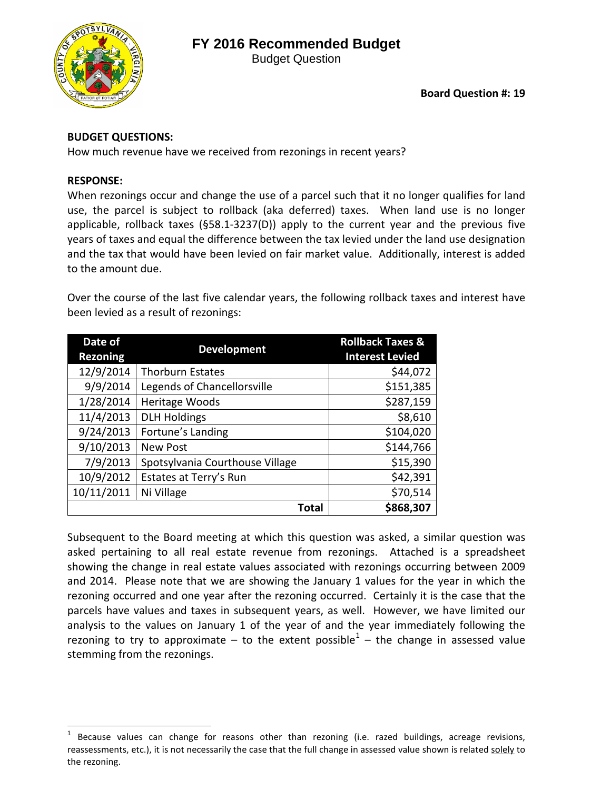## **FY 2016 Recommended Budget**



Budget Question

## **BUDGET QUESTIONS:**

How much revenue have we received from rezonings in recent years?

## **RESPONSE:**

When rezonings occur and change the use of a parcel such that it no longer qualifies for land use, the parcel is subject to rollback (aka deferred) taxes. When land use is no longer applicable, rollback taxes (§58.1-3237(D)) apply to the current year and the previous five years of taxes and equal the difference between the tax levied under the land use designation and the tax that would have been levied on fair market value. Additionally, interest is added to the amount due.

Over the course of the last five calendar years, the following rollback taxes and interest have been levied as a result of rezonings:

| Date of<br><b>Rezoning</b> | <b>Development</b>              | <b>Rollback Taxes &amp;</b><br><b>Interest Levied</b> |  |  |
|----------------------------|---------------------------------|-------------------------------------------------------|--|--|
| 12/9/2014                  | <b>Thorburn Estates</b>         | \$44,072                                              |  |  |
| 9/9/2014                   | Legends of Chancellorsville     | \$151,385                                             |  |  |
| 1/28/2014                  | Heritage Woods                  | \$287,159                                             |  |  |
| 11/4/2013                  | <b>DLH Holdings</b>             | \$8,610                                               |  |  |
| 9/24/2013                  | Fortune's Landing               | \$104,020                                             |  |  |
| 9/10/2013                  | <b>New Post</b>                 | \$144,766                                             |  |  |
| 7/9/2013                   | Spotsylvania Courthouse Village | \$15,390                                              |  |  |
| 10/9/2012                  | Estates at Terry's Run          | \$42,391                                              |  |  |
| 10/11/2011                 | Ni Village                      | \$70,514                                              |  |  |
|                            | <b>Total</b>                    | \$868,307                                             |  |  |

Subsequent to the Board meeting at which this question was asked, a similar question was asked pertaining to all real estate revenue from rezonings. Attached is a spreadsheet showing the change in real estate values associated with rezonings occurring between 2009 and 2014. Please note that we are showing the January 1 values for the year in which the rezoning occurred and one year after the rezoning occurred. Certainly it is the case that the parcels have values and taxes in subsequent years, as well. However, we have limited our analysis to the values on January 1 of the year of and the year immediately following the rezoning to try to approximate – to the extent possible<sup>[1](#page-0-0)</sup> – the change in assessed value stemming from the rezonings.

<span id="page-0-0"></span>Because values can change for reasons other than rezoning (i.e. razed buildings, acreage revisions, reassessments, etc.), it is not necessarily the case that the full change in assessed value shown is related solely to the rezoning.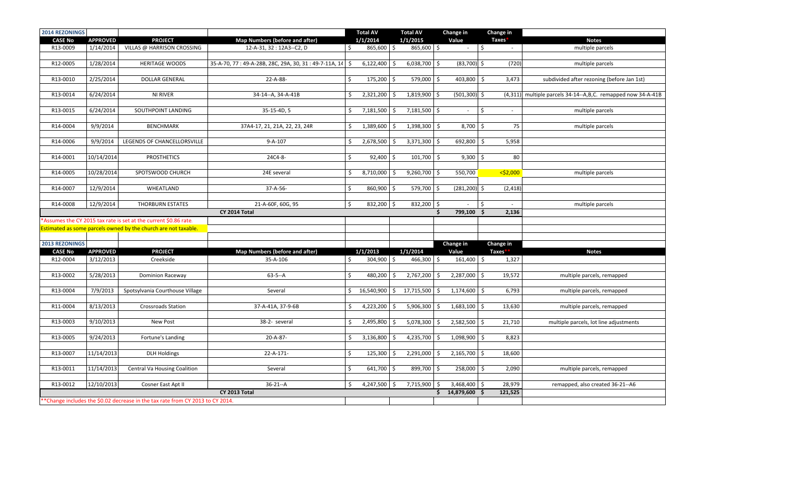| 2014 REZONINGS                                                                |                                                                                        |                                                                |                                                            |              | <b>Total AV</b> |    | <b>Total AV</b> |    | Change in            |            | Change in   |                                                                |
|-------------------------------------------------------------------------------|----------------------------------------------------------------------------------------|----------------------------------------------------------------|------------------------------------------------------------|--------------|-----------------|----|-----------------|----|----------------------|------------|-------------|----------------------------------------------------------------|
| <b>CASE No</b>                                                                | <b>APPROVED</b>                                                                        | <b>PROJECT</b>                                                 | <b>Map Numbers (before and after)</b>                      |              | 1/1/2014        |    | 1/1/2015        |    | Value                |            | Taxes*      | <b>Notes</b>                                                   |
| R13-0009                                                                      | 1/14/2014                                                                              | VILLAS @ HARRISON CROSSING                                     | 12-A-31, 32: 12A3--C2, D                                   | \$           | $865,600$ \$    |    | 865,600 \$      |    | $\sim$               | $\vert$ \$ | $\sim$      | multiple parcels                                               |
|                                                                               |                                                                                        |                                                                |                                                            |              |                 |    |                 |    |                      |            |             |                                                                |
| R12-0005                                                                      | 1/28/2014                                                                              | <b>HERITAGE WOODS</b>                                          | 35-A-70, 77: 49-A-28B, 28C, 29A, 30, 31: 49-7-11A, 14   \$ |              | 6,122,400       | \$ | $6,038,700$ \$  |    | $(83,700)$ \$        |            | (720)       | multiple parcels                                               |
|                                                                               |                                                                                        |                                                                |                                                            |              |                 |    |                 |    |                      |            |             |                                                                |
| R13-0010                                                                      | 2/25/2014                                                                              | <b>DOLLAR GENERAL</b>                                          | 22-A-88-                                                   | \$           | 175,200 \$      |    | $579,000$ \$    |    | $403,800$ \$         |            | 3,473       | subdivided after rezoning (before Jan 1st)                     |
| R13-0014                                                                      | 6/24/2014                                                                              | NI RIVER                                                       | 34-14--A, 34-A-41B                                         | \$           | $2,321,200$ \$  |    | 1,819,900 \$    |    | $(501, 300)$ \$      |            |             | (4,311) multiple parcels 34-14--A, B, C. remapped now 34-A-41B |
|                                                                               |                                                                                        |                                                                |                                                            |              |                 |    |                 |    |                      |            |             |                                                                |
| R13-0015                                                                      | 6/24/2014                                                                              | SOUTHPOINT LANDING                                             | 35-15-4D, 5                                                | \$           | 7,181,500       | \$ | $7,181,500$ \$  |    | $\sim$               | \$         | $\sim$      | multiple parcels                                               |
|                                                                               |                                                                                        |                                                                |                                                            |              |                 |    |                 |    |                      |            |             |                                                                |
| R14-0004                                                                      | 9/9/2014                                                                               | <b>BENCHMARK</b>                                               | 37A4-17, 21, 21A, 22, 23, 24R                              | \$           | $1,389,600$ \$  |    | 1,398,300 \$    |    | $8,700$ \$           |            | 75          | multiple parcels                                               |
|                                                                               |                                                                                        |                                                                |                                                            |              |                 |    |                 |    |                      |            |             |                                                                |
| R14-0006                                                                      | 9/9/2014                                                                               | LEGENDS OF CHANCELLORSVILLE                                    | $9 - A - 107$                                              | \$           | 2,678,500       | \$ | $3,371,300$ \$  |    | 692,800 \$           |            | 5,958       |                                                                |
|                                                                               |                                                                                        |                                                                |                                                            |              |                 |    |                 |    |                      |            |             |                                                                |
| R14-0001                                                                      | 10/14/2014                                                                             | <b>PROSTHETICS</b>                                             | 24C4-8-                                                    | $\zeta$      | $92,400$ \$     |    | 101,700 \$      |    | $9,300$ \$           |            | 80          |                                                                |
|                                                                               |                                                                                        |                                                                |                                                            |              |                 |    |                 |    |                      |            |             |                                                                |
| R14-0005                                                                      | 10/28/2014                                                                             | SPOTSWOOD CHURCH                                               | 24E several                                                | \$           | $8,710,000$ \$  |    | $9,260,700$ \$  |    | 550,700              |            | $<$ \$2,000 | multiple parcels                                               |
|                                                                               |                                                                                        |                                                                |                                                            |              |                 |    |                 |    |                      |            |             |                                                                |
| R14-0007                                                                      | 12/9/2014                                                                              | WHEATLAND                                                      | 37-A-56-                                                   | \$           | $860,900$ \$    |    | 579,700 \$      |    | $(281, 200)$ \$      |            | (2, 418)    |                                                                |
|                                                                               |                                                                                        |                                                                |                                                            |              |                 |    |                 |    |                      |            |             |                                                                |
| R14-0008                                                                      | 12/9/2014                                                                              | THORBURN ESTATES                                               | 21-A-60F, 60G, 95                                          | $\zeta$      | 832,200 \$      |    | 832,200 \$      |    | $\sim$<br>799,100 \$ | \$         |             | multiple parcels                                               |
|                                                                               | CY 2014 Total<br>\$<br>Assumes the CY 2015 tax rate is set at the current \$0.86 rate. |                                                                |                                                            |              |                 |    |                 |    |                      |            | 2,136       |                                                                |
|                                                                               |                                                                                        | Estimated as some parcels owned by the church are not taxable. |                                                            |              |                 |    |                 |    |                      |            |             |                                                                |
|                                                                               |                                                                                        |                                                                |                                                            |              |                 |    |                 |    |                      |            |             |                                                                |
| 2013 REZONINGS                                                                |                                                                                        |                                                                |                                                            |              |                 |    |                 |    | Change in            |            | Change in   |                                                                |
| <b>CASE No</b>                                                                | <b>APPROVED</b>                                                                        | <b>PROJECT</b>                                                 | Map Numbers (before and after)                             |              | 1/1/2013        |    | 1/1/2014        |    | Value                |            | Taxes*      | <b>Notes</b>                                                   |
| R12-0004                                                                      | 3/12/2013                                                                              | Creekside                                                      | 35-A-106                                                   | \$           | $304,900$ \$    |    | 466,300 \$      |    | $161,400$ \$         |            | 1,327       |                                                                |
|                                                                               |                                                                                        |                                                                |                                                            |              |                 |    |                 |    |                      |            |             |                                                                |
| R13-0002                                                                      | 5/28/2013                                                                              | Dominion Raceway                                               | $63 - 5 - A$                                               | $\mathsf{S}$ | 480,200 \$      |    | 2,767,200 \$    |    | $2,287,000$ \$       |            | 19,572      | multiple parcels, remapped                                     |
|                                                                               |                                                                                        |                                                                |                                                            |              |                 |    |                 |    |                      |            |             |                                                                |
| R13-0004                                                                      | 7/9/2013                                                                               | Spotsylvania Courthouse Village                                | Several                                                    | \$           | 16,540,900 \$   |    | 17,715,500 \$   |    | $1,174,600$ \$       |            | 6,793       | multiple parcels, remapped                                     |
|                                                                               |                                                                                        |                                                                |                                                            |              |                 |    |                 |    |                      |            |             |                                                                |
| R11-0004                                                                      | 8/13/2013                                                                              | <b>Crossroads Station</b>                                      | 37-A-41A, 37-9-6B                                          | \$           | 4,223,200       | \$ | 5,906,300 \$    |    | $1,683,100$ \$       |            | 13,630      | multiple parcels, remapped                                     |
|                                                                               |                                                                                        |                                                                |                                                            |              |                 |    |                 |    |                      |            |             |                                                                |
| R13-0003                                                                      | 9/10/2013                                                                              | New Post                                                       | 38-2- several                                              | \$           | 2,495,800       | \$ | 5,078,300 \$    |    | $2,582,500$ \$       |            | 21,710      | multiple parcels, lot line adjustments                         |
|                                                                               |                                                                                        |                                                                |                                                            |              |                 |    |                 |    |                      |            |             |                                                                |
| R13-0005                                                                      | 9/24/2013                                                                              | Fortune's Landing                                              | 20-A-87-                                                   | \$           | $3,136,800$ \$  |    | 4,235,700       | -S | 1,098,900 \$         |            | 8,823       |                                                                |
| R13-0007                                                                      | 11/14/2013                                                                             | <b>DLH Holdings</b>                                            | 22-A-171-                                                  | \$           | 125,300         | \$ | $2,291,000$ \$  |    | $2,165,700$ \$       |            | 18,600      |                                                                |
|                                                                               |                                                                                        |                                                                |                                                            |              |                 |    |                 |    |                      |            |             |                                                                |
| R13-0011                                                                      | 11/14/2013                                                                             | <b>Central Va Housing Coalition</b>                            | Several                                                    | \$           | $641,700$ \$    |    | 899,700 \$      |    | $258,000$ \$         |            | 2,090       | multiple parcels, remapped                                     |
|                                                                               |                                                                                        |                                                                |                                                            |              |                 |    |                 |    |                      |            |             |                                                                |
| R13-0012                                                                      | 12/10/2013                                                                             | Cosner East Apt II                                             | $36-21 - A$                                                | \$           | $4,247,500$ \$  |    | $7,715,900$ \$  |    | $3,468,400$ \$       |            | 28,979      | remapped, also created 36-21--A6                               |
|                                                                               |                                                                                        |                                                                | CY 2013 Total                                              |              |                 |    |                 |    | \$14,879,600\$       |            | 121,525     |                                                                |
| *Change includes the \$0.02 decrease in the tax rate from CY 2013 to CY 2014. |                                                                                        |                                                                |                                                            |              |                 |    |                 |    |                      |            |             |                                                                |
|                                                                               |                                                                                        |                                                                |                                                            |              |                 |    |                 |    |                      |            |             |                                                                |